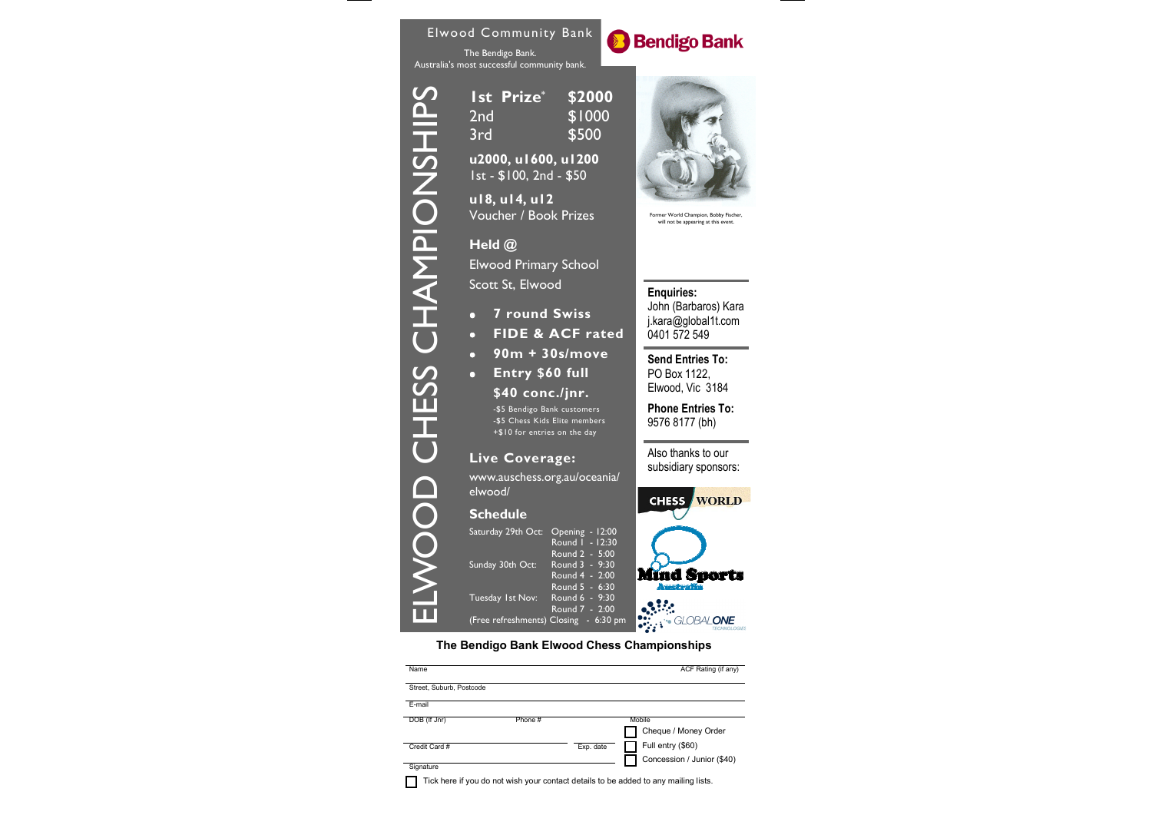

| Name                     |         |           | ACF Rating (if any)                                                                 |
|--------------------------|---------|-----------|-------------------------------------------------------------------------------------|
| Street, Suburb, Postcode |         |           |                                                                                     |
| E-mail                   |         |           |                                                                                     |
| DOB (If Jnr)             | Phone # |           | Mobile                                                                              |
|                          |         |           | Cheque / Money Order                                                                |
| Credit Card #            |         | Exp. date | Full entry (\$60)                                                                   |
|                          |         |           | Concession / Junior (\$40)                                                          |
| Signature                |         |           |                                                                                     |
|                          |         |           | Tick here if you do not wish your contact details to be added to any mailing lists. |